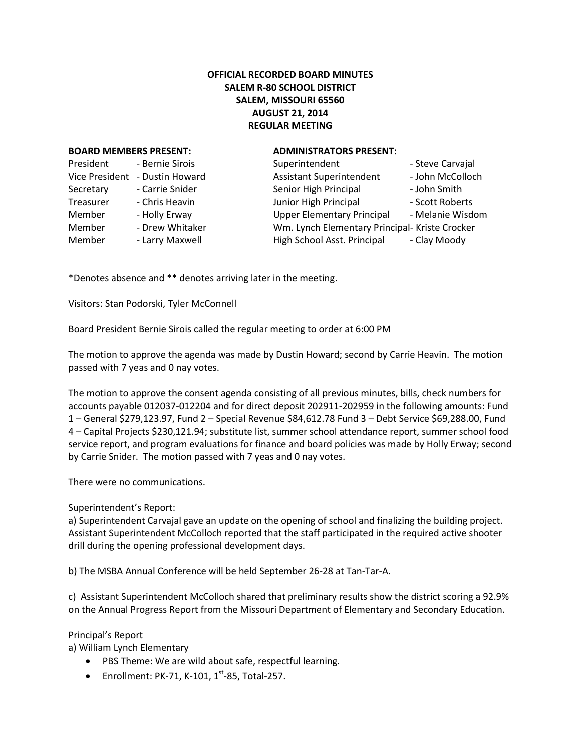## **OFFICIAL RECORDED BOARD MINUTES SALEM R-80 SCHOOL DISTRICT SALEM, MISSOURI 65560 AUGUST 21, 2014 REGULAR MEETING**

## **BOARD MEMBERS PRESENT: ADMINISTRATORS PRESENT:**

| President             | - Bernie Sirois |  |
|-----------------------|-----------------|--|
| <b>Vice President</b> | - Dustin Howard |  |
| Secretary             | - Carrie Snider |  |
| Treasurer             | - Chris Heavin  |  |
| Member                | - Holly Erway   |  |
| Member                | - Drew Whitaker |  |
| Member                | - Larry Maxwell |  |

| President      | - Bernie Sirois | Superintendent                                 | - Steve Carvajal |
|----------------|-----------------|------------------------------------------------|------------------|
| Vice President | - Dustin Howard | <b>Assistant Superintendent</b>                | - John McColloch |
| Secretary      | - Carrie Snider | Senior High Principal                          | - John Smith     |
| Treasurer      | - Chris Heavin  | Junior High Principal                          | - Scott Roberts  |
| Member         | - Holly Erway   | <b>Upper Elementary Principal</b>              | - Melanie Wisdom |
| Member         | - Drew Whitaker | Wm. Lynch Elementary Principal- Kriste Crocker |                  |
| Member         | - Larry Maxwell | High School Asst. Principal                    | - Clay Moody     |

\*Denotes absence and \*\* denotes arriving later in the meeting.

Visitors: Stan Podorski, Tyler McConnell

Board President Bernie Sirois called the regular meeting to order at 6:00 PM

The motion to approve the agenda was made by Dustin Howard; second by Carrie Heavin. The motion passed with 7 yeas and 0 nay votes.

The motion to approve the consent agenda consisting of all previous minutes, bills, check numbers for accounts payable 012037-012204 and for direct deposit 202911-202959 in the following amounts: Fund 1 – General \$279,123.97, Fund 2 – Special Revenue \$84,612.78 Fund 3 – Debt Service \$69,288.00, Fund 4 – Capital Projects \$230,121.94; substitute list, summer school attendance report, summer school food service report, and program evaluations for finance and board policies was made by Holly Erway; second by Carrie Snider. The motion passed with 7 yeas and 0 nay votes.

There were no communications.

Superintendent's Report:

a) Superintendent Carvajal gave an update on the opening of school and finalizing the building project. Assistant Superintendent McColloch reported that the staff participated in the required active shooter drill during the opening professional development days.

b) The MSBA Annual Conference will be held September 26-28 at Tan-Tar-A.

c) Assistant Superintendent McColloch shared that preliminary results show the district scoring a 92.9% on the Annual Progress Report from the Missouri Department of Elementary and Secondary Education.

Principal's Report

a) William Lynch Elementary

- PBS Theme: We are wild about safe, respectful learning.
- Enrollment: PK-71, K-101,  $1^{st}$ -85, Total-257.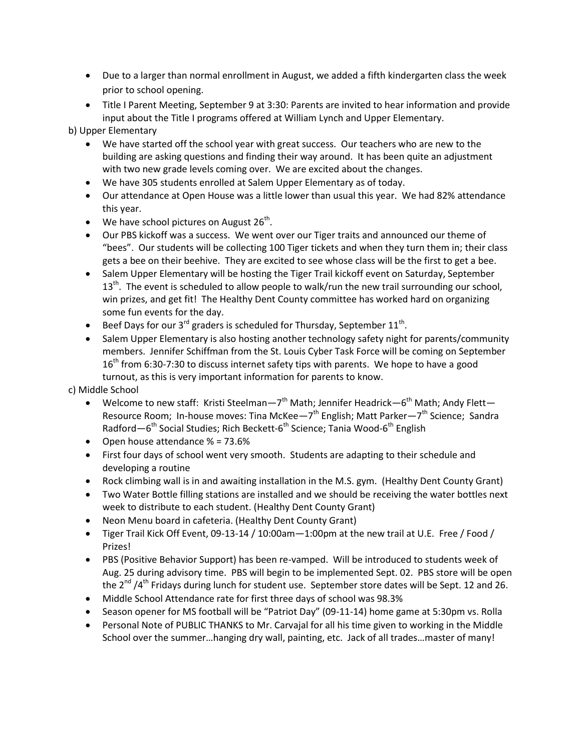- Due to a larger than normal enrollment in August, we added a fifth kindergarten class the week prior to school opening.
- Title I Parent Meeting, September 9 at 3:30: Parents are invited to hear information and provide input about the Title I programs offered at William Lynch and Upper Elementary.

b) Upper Elementary

- We have started off the school year with great success. Our teachers who are new to the building are asking questions and finding their way around. It has been quite an adjustment with two new grade levels coming over. We are excited about the changes.
- We have 305 students enrolled at Salem Upper Elementary as of today.
- Our attendance at Open House was a little lower than usual this year. We had 82% attendance this year.
- We have school pictures on August  $26^{th}$ .
- Our PBS kickoff was a success. We went over our Tiger traits and announced our theme of "bees". Our students will be collecting 100 Tiger tickets and when they turn them in; their class gets a bee on their beehive. They are excited to see whose class will be the first to get a bee.
- Salem Upper Elementary will be hosting the Tiger Trail kickoff event on Saturday, September  $13<sup>th</sup>$ . The event is scheduled to allow people to walk/run the new trail surrounding our school, win prizes, and get fit! The Healthy Dent County committee has worked hard on organizing some fun events for the day.
- Beef Days for our 3<sup>rd</sup> graders is scheduled for Thursday, September  $11^{\text{th}}$ .
- Salem Upper Elementary is also hosting another technology safety night for parents/community members. Jennifer Schiffman from the St. Louis Cyber Task Force will be coming on September  $16<sup>th</sup>$  from 6:30-7:30 to discuss internet safety tips with parents. We hope to have a good turnout, as this is very important information for parents to know.

c) Middle School

- Welcome to new staff: Kristi Steelman—7<sup>th</sup> Math; Jennifer Headrick—6<sup>th</sup> Math; Andy Flett— Resource Room; In-house moves: Tina McKee—7<sup>th</sup> English; Matt Parker—7<sup>th</sup> Science; Sandra Radford—6<sup>th</sup> Social Studies; Rich Beckett-6<sup>th</sup> Science; Tania Wood-6<sup>th</sup> English
- Open house attendance  $% = 73.6%$
- First four days of school went very smooth. Students are adapting to their schedule and developing a routine
- Rock climbing wall is in and awaiting installation in the M.S. gym. (Healthy Dent County Grant)
- Two Water Bottle filling stations are installed and we should be receiving the water bottles next week to distribute to each student. (Healthy Dent County Grant)
- Neon Menu board in cafeteria. (Healthy Dent County Grant)
- Tiger Trail Kick Off Event, 09-13-14 / 10:00am—1:00pm at the new trail at U.E. Free / Food / Prizes!
- PBS (Positive Behavior Support) has been re-vamped. Will be introduced to students week of Aug. 25 during advisory time. PBS will begin to be implemented Sept. 02. PBS store will be open the  $2^{nd}$  /4<sup>th</sup> Fridays during lunch for student use. September store dates will be Sept. 12 and 26.
- Middle School Attendance rate for first three days of school was 98.3%
- Season opener for MS football will be "Patriot Day" (09-11-14) home game at 5:30pm vs. Rolla
- Personal Note of PUBLIC THANKS to Mr. Carvajal for all his time given to working in the Middle School over the summer…hanging dry wall, painting, etc. Jack of all trades…master of many!